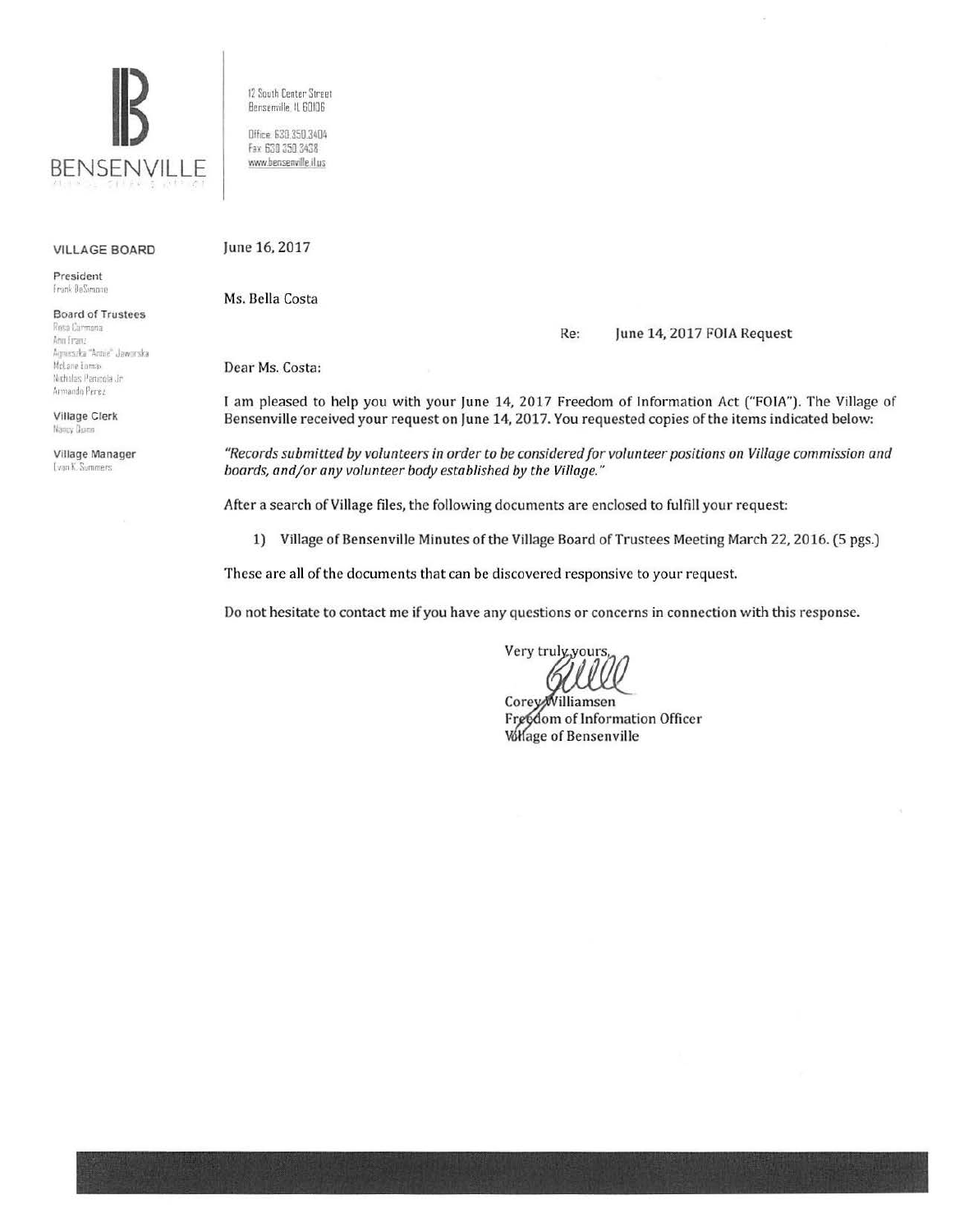

12 South Center Street Bensenville, IL 60106 Office: 630.350.3404

Fax: 630 350 3438 www.bensenville.il.us

**VILLAGE BOARD** 

President Frank DeSimone

**Board of Trustees** Resa Carmona Ann Franz Agnieszka "Annie" Jaworska McLane Lomas Nicholas Panicola Jr Armando Perez

Village Clerk Nancy Donn

Village Manager **Lvan K. Summers** 

June 16, 2017

Ms. Bella Costa

Re: June 14, 2017 FOIA Request

Dear Ms. Costa:

I am pleased to help you with your June 14, 2017 Freedom of Information Act ("FOIA"). The Village of Bensenville received your request on June 14, 2017. You requested copies of the items indicated below:

"Records submitted by volunteers in order to be considered for volunteer positions on Village commission and boards, and/or any volunteer body established by the Village."

After a search of Village files, the following documents are enclosed to fulfill your request:

1) Village of Bensenville Minutes of the Village Board of Trustees Meeting March 22, 2016. (5 pgs.)

These are all of the documents that can be discovered responsive to your request.

Do not hesitate to contact me if you have any questions or concerns in connection with this response.

Very truly, yours

Corey Williamsen Freedom of Information Officer Vallage of Bensenville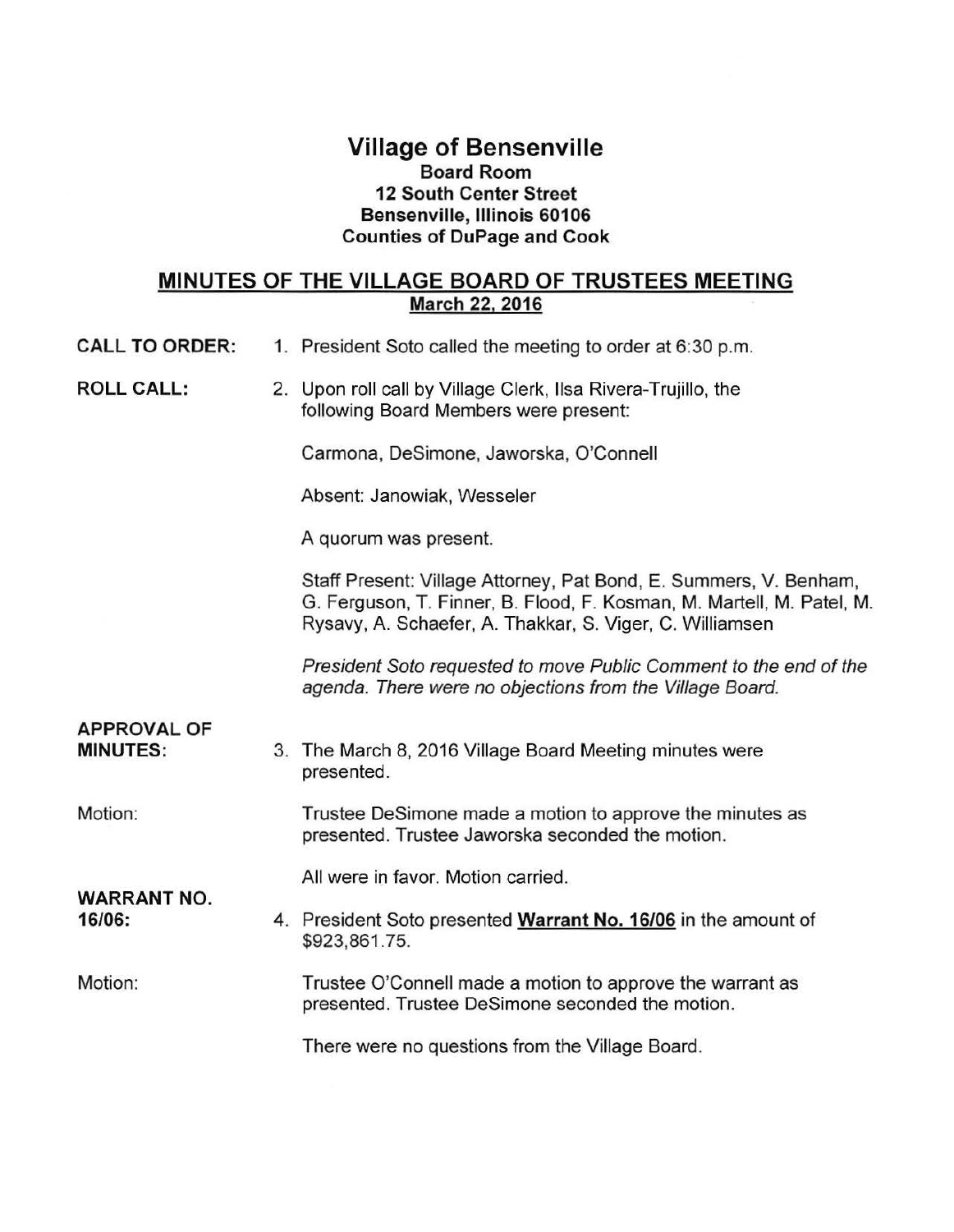## **Village of Bensenville Board Room 12 South Center Street Bensenville, Illinois 60106 Counties of DuPage and Cook**

## **MINUTES OF THE VILLAGE BOARD OF TRUSTEES MEETING March 22, 2016**

- **CALL TO ORDER:**  1. President Soto called the meeting to order at 6:30 p.m.
- **ROLL CALL:**  2. Upon roll call by Village Clerk, Ilsa Rivera-Trujillo, the following Board Members were present:

Carmona, DeSimone, Jaworska, O'Connell

Absent: Janowiak, Wesseler

A quorum was present.

Staff Present: Village Attorney, Pat Bond, E. Summers, V. Benham, G. Ferguson, T. Finner, B. Flood, F. Kosman, M. Martell, M. Patel, M. Rysavy, A. Schaefer, A. Thakkar, S. Viger, C. Williamsen

President Soto requested to move Public Comment to the end of the agenda. There were no objections from the Village Board.

## **APPROVAL OF MINUTES:**

Motion:

3. The March 8, 2016 Village Board Meeting minutes were presented.

Trustee DeSimone made a motion to approve the minutes as presented. Trustee Jaworska seconded the motion.

All were in favor. Motion carried.

**WARRANT NO. 16/06:** 

4. President Soto presented **Warrant No. 16/06** in the amount of \$923,861.75.

Motion: Trustee O'Connell made a motion to approve the warrant as presented. Trustee DeSimone seconded the motion.

There were no questions from the Village Board.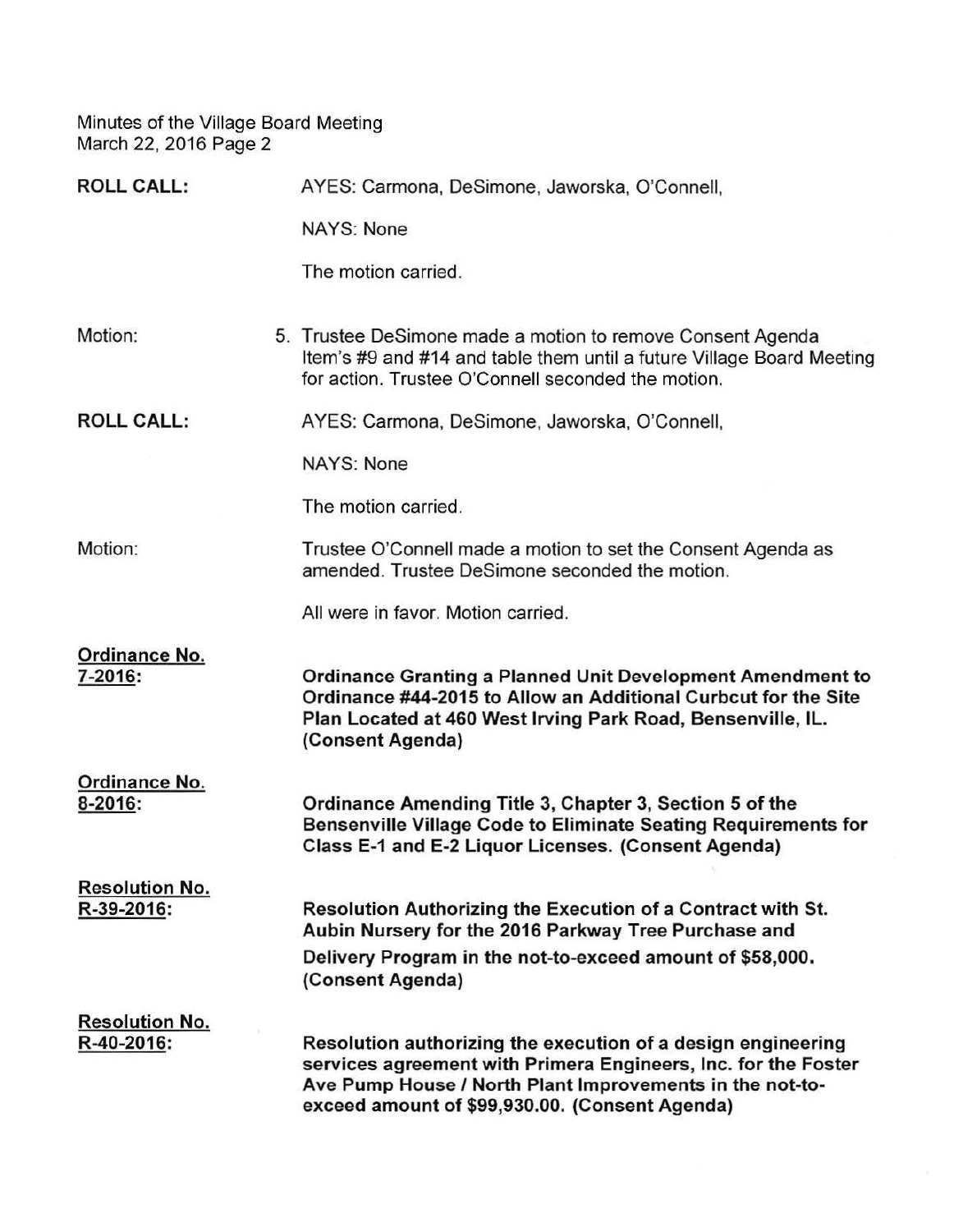| <b>ROLL CALL:</b>                   | AYES: Carmona, DeSimone, Jaworska, O'Connell,                                                                                                                                                                                                |
|-------------------------------------|----------------------------------------------------------------------------------------------------------------------------------------------------------------------------------------------------------------------------------------------|
|                                     | NAYS: None                                                                                                                                                                                                                                   |
|                                     | The motion carried.                                                                                                                                                                                                                          |
| Motion:                             | 5. Trustee DeSimone made a motion to remove Consent Agenda<br>Item's #9 and #14 and table them until a future Village Board Meeting<br>for action. Trustee O'Connell seconded the motion.                                                    |
| <b>ROLL CALL:</b>                   | AYES: Carmona, DeSimone, Jaworska, O'Connell,                                                                                                                                                                                                |
|                                     | <b>NAYS: None</b>                                                                                                                                                                                                                            |
|                                     | The motion carried.                                                                                                                                                                                                                          |
| Motion:                             | Trustee O'Connell made a motion to set the Consent Agenda as<br>amended. Trustee DeSimone seconded the motion.                                                                                                                               |
|                                     | All were in favor. Motion carried.                                                                                                                                                                                                           |
| Ordinance No.<br>7-2016:            | <b>Ordinance Granting a Planned Unit Development Amendment to</b><br>Ordinance #44-2015 to Allow an Additional Curbcut for the Site<br>Plan Located at 460 West Irving Park Road, Bensenville, IL.<br>(Consent Agenda)                       |
| Ordinance No.<br>$8 - 2016$ :       | Ordinance Amending Title 3, Chapter 3, Section 5 of the<br>Bensenville Village Code to Eliminate Seating Requirements for<br>Class E-1 and E-2 Liquor Licenses. (Consent Agenda)                                                             |
| <b>Resolution No.</b><br>R-39-2016: | Resolution Authorizing the Execution of a Contract with St.<br>Aubin Nursery for the 2016 Parkway Tree Purchase and<br>Delivery Program in the not-to-exceed amount of \$58,000.<br>(Consent Agenda)                                         |
| <b>Resolution No.</b><br>R-40-2016: | Resolution authorizing the execution of a design engineering<br>services agreement with Primera Engineers, Inc. for the Foster<br>Ave Pump House / North Plant Improvements in the not-to-<br>exceed amount of \$99,930.00. (Consent Agenda) |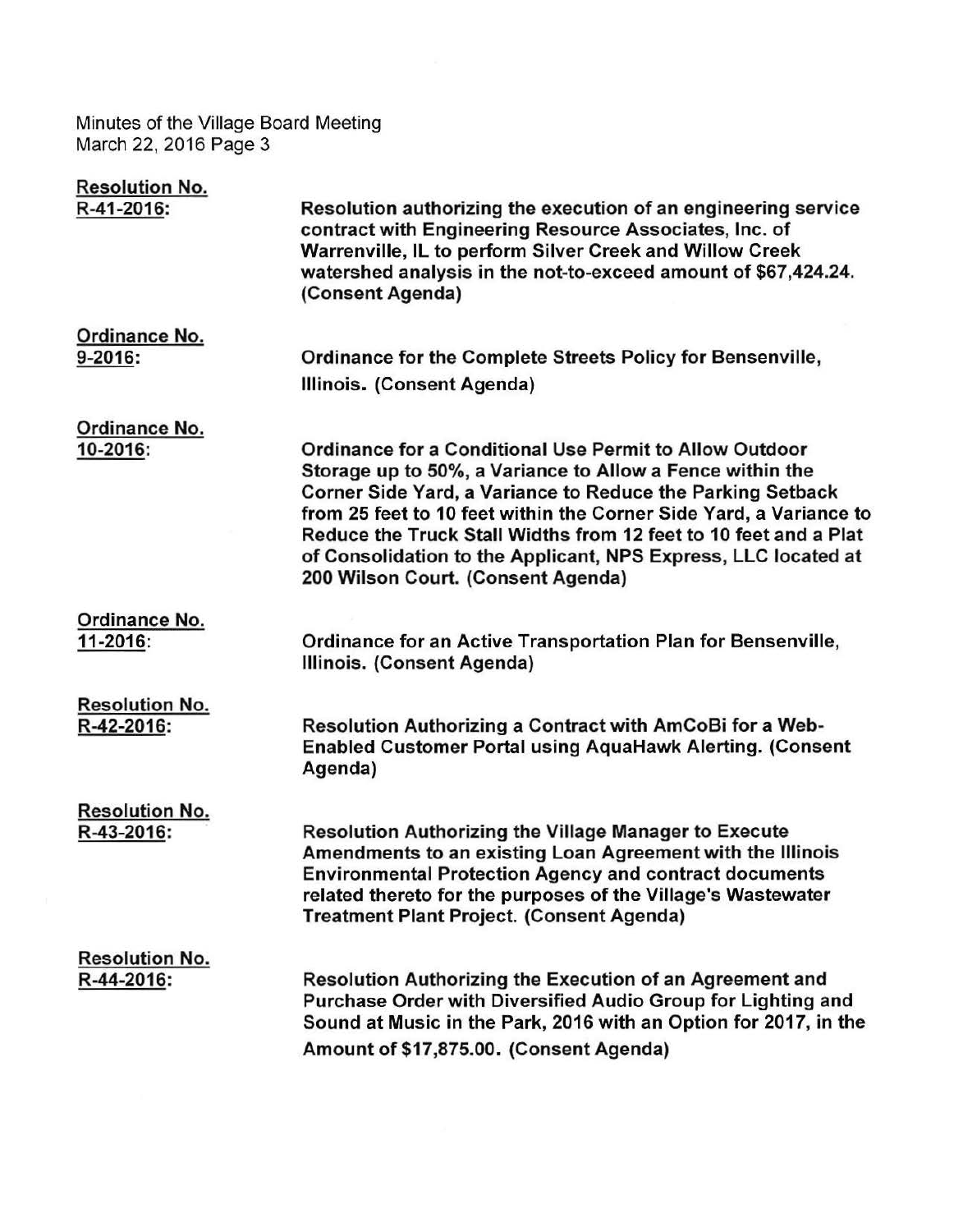| <b>Resolution No.</b> |                                                                                                                                                                                                                                                                                                                                                                                                                                             |
|-----------------------|---------------------------------------------------------------------------------------------------------------------------------------------------------------------------------------------------------------------------------------------------------------------------------------------------------------------------------------------------------------------------------------------------------------------------------------------|
| R-41-2016:            | Resolution authorizing the execution of an engineering service<br>contract with Engineering Resource Associates, Inc. of<br>Warrenville, IL to perform Silver Creek and Willow Creek<br>watershed analysis in the not-to-exceed amount of \$67,424.24.<br>(Consent Agenda)                                                                                                                                                                  |
| Ordinance No.         |                                                                                                                                                                                                                                                                                                                                                                                                                                             |
| 9-2016:               | Ordinance for the Complete Streets Policy for Bensenville,                                                                                                                                                                                                                                                                                                                                                                                  |
|                       | Illinois. (Consent Agenda)                                                                                                                                                                                                                                                                                                                                                                                                                  |
| Ordinance No.         |                                                                                                                                                                                                                                                                                                                                                                                                                                             |
| 10-2016:              | <b>Ordinance for a Conditional Use Permit to Allow Outdoor</b><br>Storage up to 50%, a Variance to Allow a Fence within the<br>Corner Side Yard, a Variance to Reduce the Parking Setback<br>from 25 feet to 10 feet within the Corner Side Yard, a Variance to<br>Reduce the Truck Stall Widths from 12 feet to 10 feet and a Plat<br>of Consolidation to the Applicant, NPS Express, LLC located at<br>200 Wilson Court. (Consent Agenda) |
| Ordinance No.         |                                                                                                                                                                                                                                                                                                                                                                                                                                             |
| 11-2016:              | Ordinance for an Active Transportation Plan for Bensenville,<br>Illinois. (Consent Agenda)                                                                                                                                                                                                                                                                                                                                                  |
| <b>Resolution No.</b> |                                                                                                                                                                                                                                                                                                                                                                                                                                             |
| R-42-2016:            | Resolution Authorizing a Contract with AmCoBi for a Web-<br>Enabled Customer Portal using AquaHawk Alerting. (Consent<br>Agenda)                                                                                                                                                                                                                                                                                                            |
| <b>Resolution No.</b> |                                                                                                                                                                                                                                                                                                                                                                                                                                             |
| R-43-2016:            | <b>Resolution Authorizing the Village Manager to Execute</b><br>Amendments to an existing Loan Agreement with the Illinois<br><b>Environmental Protection Agency and contract documents</b><br>related thereto for the purposes of the Village's Wastewater<br>Treatment Plant Project. (Consent Agenda)                                                                                                                                    |
| <b>Resolution No.</b> |                                                                                                                                                                                                                                                                                                                                                                                                                                             |
| R-44-2016:            | Resolution Authorizing the Execution of an Agreement and<br>Purchase Order with Diversified Audio Group for Lighting and<br>Sound at Music in the Park, 2016 with an Option for 2017, in the                                                                                                                                                                                                                                                |
|                       | Amount of \$17,875.00. (Consent Agenda)                                                                                                                                                                                                                                                                                                                                                                                                     |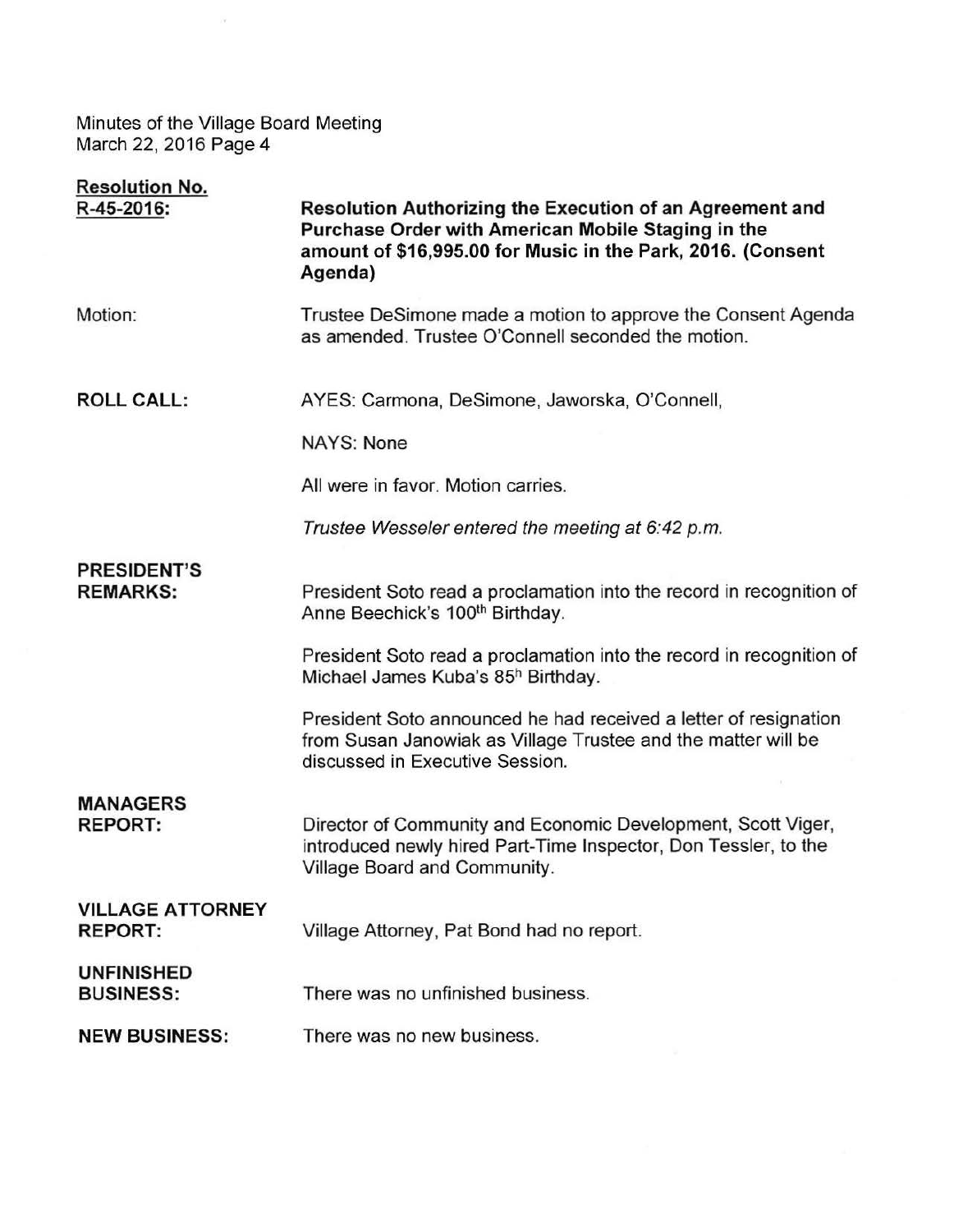$\bar{\chi}$ 

| <b>Resolution No.</b>                     |                                                                                                                                                                                          |
|-------------------------------------------|------------------------------------------------------------------------------------------------------------------------------------------------------------------------------------------|
| R-45-2016:                                | Resolution Authorizing the Execution of an Agreement and<br>Purchase Order with American Mobile Staging in the<br>amount of \$16,995.00 for Music in the Park, 2016. (Consent<br>Agenda) |
| Motion:                                   | Trustee DeSimone made a motion to approve the Consent Agenda<br>as amended. Trustee O'Connell seconded the motion.                                                                       |
| <b>ROLL CALL:</b>                         | AYES: Carmona, DeSimone, Jaworska, O'Connell,                                                                                                                                            |
|                                           | <b>NAYS: None</b>                                                                                                                                                                        |
|                                           | All were in favor. Motion carries.                                                                                                                                                       |
|                                           | Trustee Wesseler entered the meeting at 6:42 p.m.                                                                                                                                        |
| <b>PRESIDENT'S</b><br><b>REMARKS:</b>     | President Soto read a proclamation into the record in recognition of<br>Anne Beechick's 100th Birthday.                                                                                  |
|                                           | President Soto read a proclamation into the record in recognition of<br>Michael James Kuba's 85 <sup>h</sup> Birthday.                                                                   |
|                                           | President Soto announced he had received a letter of resignation<br>from Susan Janowiak as Village Trustee and the matter will be<br>discussed in Executive Session.                     |
| <b>MANAGERS</b><br><b>REPORT:</b>         | Director of Community and Economic Development, Scott Viger,<br>introduced newly hired Part-Time Inspector, Don Tessler, to the<br>Village Board and Community.                          |
| <b>VILLAGE ATTORNEY</b><br><b>REPORT:</b> | Village Attorney, Pat Bond had no report.                                                                                                                                                |
| <b>UNFINISHED</b><br><b>BUSINESS:</b>     | There was no unfinished business.                                                                                                                                                        |
| <b>NEW BUSINESS:</b>                      | There was no new business.                                                                                                                                                               |